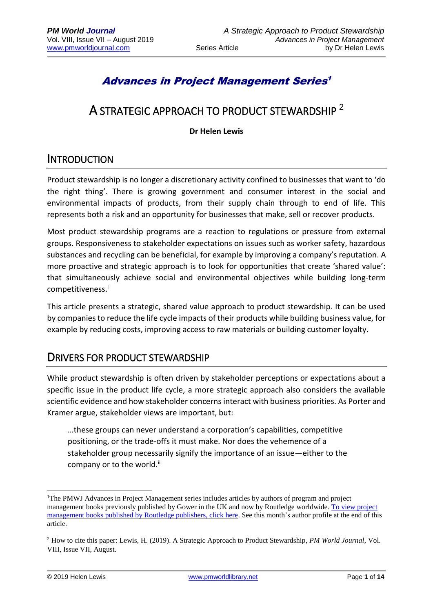# Advances in Project Management Series 1

# A STRATEGIC APPROACH TO PRODUCT STEWARDSHIP  $^2$

**Dr Helen Lewis**

# INTRODUCTION

Product stewardship is no longer a discretionary activity confined to businesses that want to 'do the right thing'. There is growing government and consumer interest in the social and environmental impacts of products, from their supply chain through to end of life. This represents both a risk and an opportunity for businesses that make, sell or recover products.

Most product stewardship programs are a reaction to regulations or pressure from external groups. Responsiveness to stakeholder expectations on issues such as worker safety, hazardous substances and recycling can be beneficial, for example by improving a company's reputation. A more proactive and strategic approach is to look for opportunities that create 'shared value': that simultaneously achieve social and environmental objectives while building long-term competitiveness.<sup>i</sup>

This article presents a strategic, shared value approach to product stewardship. It can be used by companies to reduce the life cycle impacts of their products while building business value, for example by reducing costs, improving access to raw materials or building customer loyalty.

## DRIVERS FOR PRODUCT STEWARDSHIP

While product stewardship is often driven by stakeholder perceptions or expectations about a specific issue in the product life cycle, a more strategic approach also considers the available scientific evidence and how stakeholder concerns interact with business priorities. As Porter and Kramer argue, stakeholder views are important, but:

…these groups can never understand a corporation's capabilities, competitive positioning, or the trade-offs it must make. Nor does the vehemence of a stakeholder group necessarily signify the importance of an issue—either to the company or to the world.<sup>ii</sup>

1

<sup>1</sup>The PMWJ Advances in Project Management series includes articles by authors of program and project management books previously published by Gower in the UK and now by Routledge worldwide. [To view project](https://www.routledge.com/products/search?keywords=project+management)  [management books published by Routledge publishers, click here.](https://www.routledge.com/products/search?keywords=project+management) See this month's author profile at the end of this article.

<sup>2</sup> How to cite this paper: Lewis, H. (2019). A Strategic Approach to Product Stewardship, *PM World Journal,* Vol. VIII, Issue VII, August.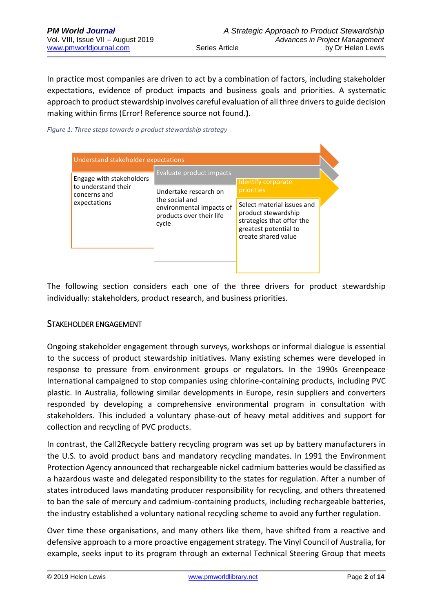N

In practice most companies are driven to act by a combination of factors, including stakeholder expectations, evidence of product impacts and business goals and priorities. A systematic approach to product stewardship involves careful evaluation of all three drivers to guide decision making within firms (Error! Reference source not found.**)**.

#### *Figure 1: Three steps towards a product stewardship strategy*

| Understand stakeholder expectations                             |                                                                                                                                      |                                                                                                                                |  |  |  |
|-----------------------------------------------------------------|--------------------------------------------------------------------------------------------------------------------------------------|--------------------------------------------------------------------------------------------------------------------------------|--|--|--|
| Engage with stakeholders<br>to understand their<br>concerns and | Evaluate product impacts<br>Undertake research on<br>the social and<br>environmental impacts of<br>products over their life<br>cycle | Identify corporate<br>priorities                                                                                               |  |  |  |
| expectations                                                    |                                                                                                                                      | Select material issues and<br>product stewardship<br>strategies that offer the<br>greatest potential to<br>create shared value |  |  |  |

The following section considers each one of the three drivers for product stewardship individually: stakeholders, product research, and business priorities.

#### STAKEHOLDER ENGAGEMENT

Ongoing stakeholder engagement through surveys, workshops or informal dialogue is essential to the success of product stewardship initiatives. Many existing schemes were developed in response to pressure from environment groups or regulators. In the 1990s Greenpeace International campaigned to stop companies using chlorine-containing products, including PVC plastic. In Australia, following similar developments in Europe, resin suppliers and converters responded by developing a comprehensive environmental program in consultation with stakeholders. This included a voluntary phase-out of heavy metal additives and support for collection and recycling of PVC products.

In contrast, the Call2Recycle battery recycling program was set up by battery manufacturers in the U.S. to avoid product bans and mandatory recycling mandates. In 1991 the Environment Protection Agency announced that rechargeable nickel cadmium batteries would be classified as a hazardous waste and delegated responsibility to the states for regulation. After a number of states introduced laws mandating producer responsibility for recycling, and others threatened to ban the sale of mercury and cadmium-containing products, including rechargeable batteries, the industry established a voluntary national recycling scheme to avoid any further regulation.

Over time these organisations, and many others like them, have shifted from a reactive and defensive approach to a more proactive engagement strategy. The Vinyl Council of Australia, for example, seeks input to its program through an external Technical Steering Group that meets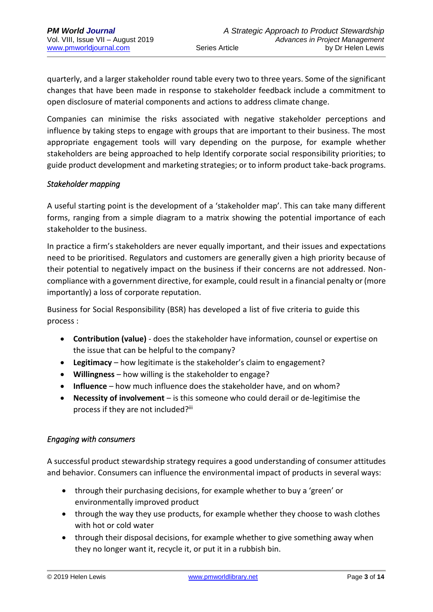quarterly, and a larger stakeholder round table every two to three years. Some of the significant changes that have been made in response to stakeholder feedback include a commitment to open disclosure of material components and actions to address climate change.

Companies can minimise the risks associated with negative stakeholder perceptions and influence by taking steps to engage with groups that are important to their business. The most appropriate engagement tools will vary depending on the purpose, for example whether stakeholders are being approached to help Identify corporate social responsibility priorities; to guide product development and marketing strategies; or to inform product take-back programs.

#### *Stakeholder mapping*

A useful starting point is the development of a 'stakeholder map'. This can take many different forms, ranging from a simple diagram to a matrix showing the potential importance of each stakeholder to the business.

In practice a firm's stakeholders are never equally important, and their issues and expectations need to be prioritised. Regulators and customers are generally given a high priority because of their potential to negatively impact on the business if their concerns are not addressed. Noncompliance with a government directive, for example, could result in a financial penalty or (more importantly) a loss of corporate reputation.

Business for Social Responsibility (BSR) has developed a list of five criteria to guide this process :

- **Contribution (value)** does the stakeholder have information, counsel or expertise on the issue that can be helpful to the company?
- **Legitimacy** how legitimate is the stakeholder's claim to engagement?
- **Willingness** how willing is the stakeholder to engage?
- **Influence**  how much influence does the stakeholder have, and on whom?
- **Necessity of involvement** is this someone who could derail or de-legitimise the process if they are not included?iii

#### *Engaging with consumers*

A successful product stewardship strategy requires a good understanding of consumer attitudes and behavior. Consumers can influence the environmental impact of products in several ways:

- through their purchasing decisions, for example whether to buy a 'green' or environmentally improved product
- through the way they use products, for example whether they choose to wash clothes with hot or cold water
- through their disposal decisions, for example whether to give something away when they no longer want it, recycle it, or put it in a rubbish bin.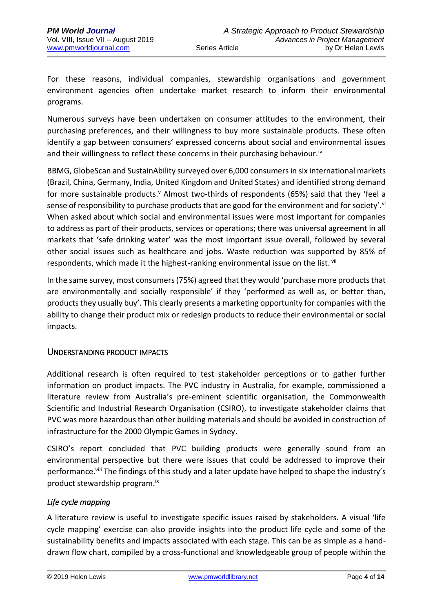For these reasons, individual companies, stewardship organisations and government environment agencies often undertake market research to inform their environmental programs.

Numerous surveys have been undertaken on consumer attitudes to the environment, their purchasing preferences, and their willingness to buy more sustainable products. These often identify a gap between consumers' expressed concerns about social and environmental issues and their willingness to reflect these concerns in their purchasing behaviour.<sup>iv</sup>

BBMG, GlobeScan and SustainAbility surveyed over 6,000 consumers in six international markets (Brazil, China, Germany, India, United Kingdom and United States) and identified strong demand for more sustainable products.<sup>v</sup> Almost two-thirds of respondents (65%) said that they 'feel a sense of responsibility to purchase products that are good for the environment and for society'.<sup>vi</sup> When asked about which social and environmental issues were most important for companies to address as part of their products, services or operations; there was universal agreement in all markets that 'safe drinking water' was the most important issue overall, followed by several other social issues such as healthcare and jobs. Waste reduction was supported by 85% of respondents, which made it the highest-ranking environmental issue on the list. Vii

In the same survey, most consumers (75%) agreed that they would 'purchase more products that are environmentally and socially responsible' if they 'performed as well as, or better than, products they usually buy'. This clearly presents a marketing opportunity for companies with the ability to change their product mix or redesign products to reduce their environmental or social impacts.

### UNDERSTANDING PRODUCT IMPACTS

Additional research is often required to test stakeholder perceptions or to gather further information on product impacts. The PVC industry in Australia, for example, commissioned a literature review from Australia's pre-eminent scientific organisation, the Commonwealth Scientific and Industrial Research Organisation (CSIRO), to investigate stakeholder claims that PVC was more hazardous than other building materials and should be avoided in construction of infrastructure for the 2000 Olympic Games in Sydney.

CSIRO's report concluded that PVC building products were generally sound from an environmental perspective but there were issues that could be addressed to improve their performance.<sup>viii</sup> The findings of this study and a later update have helped to shape the industry's product stewardship program.ix

#### *Life cycle mapping*

A literature review is useful to investigate specific issues raised by stakeholders. A visual 'life cycle mapping' exercise can also provide insights into the product life cycle and some of the sustainability benefits and impacts associated with each stage. This can be as simple as a handdrawn flow chart, compiled by a cross-functional and knowledgeable group of people within the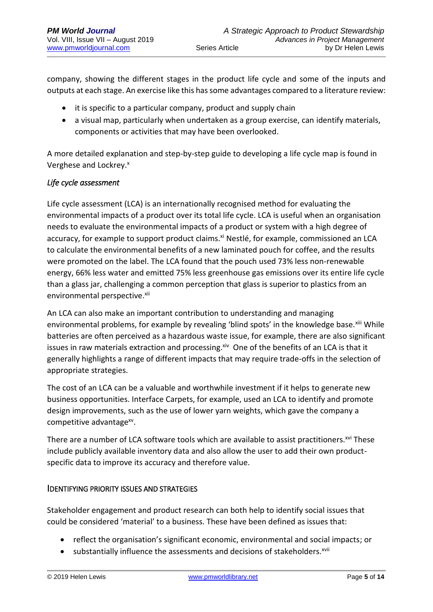company, showing the different stages in the product life cycle and some of the inputs and outputs at each stage. An exercise like this has some advantages compared to a literature review:

- it is specific to a particular company, product and supply chain
- a visual map, particularly when undertaken as a group exercise, can identify materials, components or activities that may have been overlooked.

A more detailed explanation and step-by-step guide to developing a life cycle map is found in Verghese and Lockrey.<sup>x</sup>

#### *Life cycle assessment*

Life cycle assessment (LCA) is an internationally recognised method for evaluating the environmental impacts of a product over its total life cycle. LCA is useful when an organisation needs to evaluate the environmental impacts of a product or system with a high degree of accuracy, for example to support product claims.<sup>xi</sup> Nestlé, for example, commissioned an LCA to calculate the environmental benefits of a new laminated pouch for coffee, and the results were promoted on the label. The LCA found that the pouch used 73% less non-renewable energy, 66% less water and emitted 75% less greenhouse gas emissions over its entire life cycle than a glass jar, challenging a common perception that glass is superior to plastics from an environmental perspective.<sup>xii</sup>

An LCA can also make an important contribution to understanding and managing environmental problems, for example by revealing 'blind spots' in the knowledge base.<sup>xiii</sup> While batteries are often perceived as a hazardous waste issue, for example, there are also significant issues in raw materials extraction and processing. ${}^{xiv}$  One of the benefits of an LCA is that it generally highlights a range of different impacts that may require trade-offs in the selection of appropriate strategies.

The cost of an LCA can be a valuable and worthwhile investment if it helps to generate new business opportunities. Interface Carpets, for example, used an LCA to identify and promote design improvements, such as the use of lower yarn weights, which gave the company a competitive advantage<sup>xv</sup>.

There are a number of LCA software tools which are available to assist practitioners.<sup>xvi</sup> These include publicly available inventory data and also allow the user to add their own productspecific data to improve its accuracy and therefore value.

#### IDENTIFYING PRIORITY ISSUES AND STRATEGIES

Stakeholder engagement and product research can both help to identify social issues that could be considered 'material' to a business. These have been defined as issues that:

- reflect the organisation's significant economic, environmental and social impacts; or
- substantially influence the assessments and decisions of stakeholders.<sup>xvii</sup>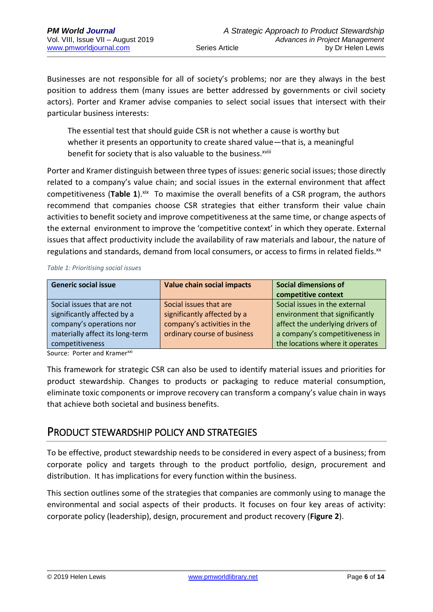Businesses are not responsible for all of society's problems; nor are they always in the best position to address them (many issues are better addressed by governments or civil society actors). Porter and Kramer advise companies to select social issues that intersect with their particular business interests:

The essential test that should guide CSR is not whether a cause is worthy but whether it presents an opportunity to create shared value—that is, a meaningful benefit for society that is also valuable to the business.<sup>xviii</sup>

Porter and Kramer distinguish between three types of issues: generic social issues; those directly related to a company's value chain; and social issues in the external environment that affect competitiveness (Table 1).<sup>xix</sup> To maximise the overall benefits of a CSR program, the authors recommend that companies choose CSR strategies that either transform their value chain activities to benefit society and improve competitiveness at the same time, or change aspects of the external environment to improve the 'competitive context' in which they operate. External issues that affect productivity include the availability of raw materials and labour, the nature of regulations and standards, demand from local consumers, or access to firms in related fields.<sup>xx</sup>

*Table 1: Prioritising social issues*

| <b>Generic social issue</b>     | <b>Value chain social impacts</b> | Social dimensions of<br>competitive context |
|---------------------------------|-----------------------------------|---------------------------------------------|
| Social issues that are not      | Social issues that are            | Social issues in the external               |
| significantly affected by a     | significantly affected by a       | environment that significantly              |
| company's operations nor        | company's activities in the       | affect the underlying drivers of            |
| materially affect its long-term | ordinary course of business       | a company's competitiveness in              |
| competitiveness                 |                                   | the locations where it operates             |

Source: Porter and Kramer<sup>xxi</sup>

This framework for strategic CSR can also be used to identify material issues and priorities for product stewardship. Changes to products or packaging to reduce material consumption, eliminate toxic components or improve recovery can transform a company's value chain in ways that achieve both societal and business benefits.

## PRODUCT STEWARDSHIP POLICY AND STRATEGIES

To be effective, product stewardship needs to be considered in every aspect of a business; from corporate policy and targets through to the product portfolio, design, procurement and distribution. It has implications for every function within the business.

This section outlines some of the strategies that companies are commonly using to manage the environmental and social aspects of their products. It focuses on four key areas of activity: corporate policy (leadership), design, procurement and product recovery (**Figure 2**).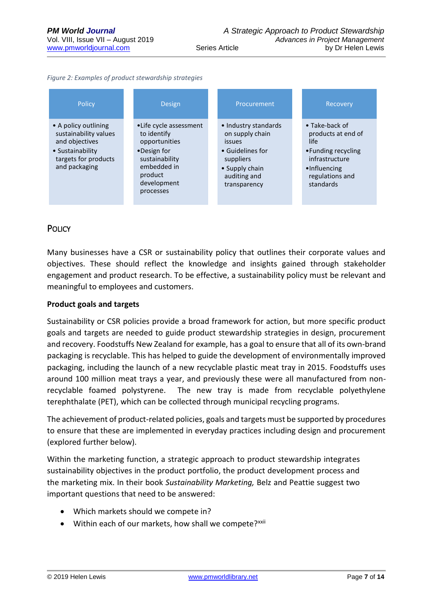|  |  | Figure 2: Examples of product stewardship strategies |  |
|--|--|------------------------------------------------------|--|

| Policy                                                                                                                       | <b>Design</b>                                                                                                                                  | Procurement                                                                                                                                 | Recovery                                                                                                                                       |
|------------------------------------------------------------------------------------------------------------------------------|------------------------------------------------------------------------------------------------------------------------------------------------|---------------------------------------------------------------------------------------------------------------------------------------------|------------------------------------------------------------------------------------------------------------------------------------------------|
| • A policy outlining<br>sustainability values<br>and objectives<br>• Sustainability<br>targets for products<br>and packaging | • Life cycle assessment<br>to identify<br>opportunities<br>•Design for<br>sustainability<br>embedded in<br>product<br>development<br>processes | • Industry standards<br>on supply chain<br><i>issues</i><br>• Guidelines for<br>suppliers<br>• Supply chain<br>auditing and<br>transparency | $\bullet$ Take-back of<br>products at end of<br>life.<br>• Funding recycling<br>infrastructure<br>•Influencing<br>regulations and<br>standards |

### **POLICY**

Many businesses have a CSR or sustainability policy that outlines their corporate values and objectives. These should reflect the knowledge and insights gained through stakeholder engagement and product research. To be effective, a sustainability policy must be relevant and meaningful to employees and customers.

#### **Product goals and targets**

Sustainability or CSR policies provide a broad framework for action, but more specific product goals and targets are needed to guide product stewardship strategies in design, procurement and recovery. Foodstuffs New Zealand for example, has a goal to ensure that all of its own-brand packaging is recyclable. This has helped to guide the development of environmentally improved packaging, including the launch of a new recyclable plastic meat tray in 2015. Foodstuffs uses around 100 million meat trays a year, and previously these were all manufactured from nonrecyclable foamed polystyrene. The new tray is made from recyclable polyethylene terephthalate (PET), which can be collected through municipal recycling programs.

The achievement of product-related policies, goals and targets must be supported by procedures to ensure that these are implemented in everyday practices including design and procurement (explored further below).

Within the marketing function, a strategic approach to product stewardship integrates sustainability objectives in the product portfolio, the product development process and the marketing mix. In their book *Sustainability Marketing,* Belz and Peattie suggest two important questions that need to be answered:

- Which markets should we compete in?
- Within each of our markets, how shall we compete?<sup>xxii</sup>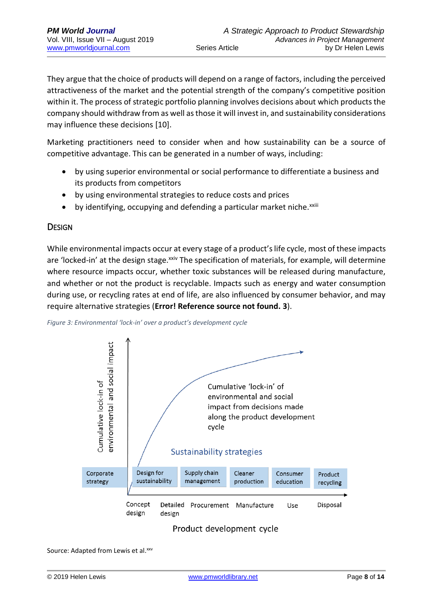They argue that the choice of products will depend on a range of factors, including the perceived attractiveness of the market and the potential strength of the company's competitive position within it. The process of strategic portfolio planning involves decisions about which products the company should withdraw from as well as those it will invest in, and sustainability considerations may influence these decisions [10].

Marketing practitioners need to consider when and how sustainability can be a source of competitive advantage. This can be generated in a number of ways, including:

- by using superior environmental or social performance to differentiate a business and its products from competitors
- by using environmental strategies to reduce costs and prices
- by identifying, occupying and defending a particular market niche.<sup>xxiii</sup>

#### **DESIGN**

While environmental impacts occur at every stage of a product's life cycle, most of these impacts are 'locked-in' at the design stage.<sup>xxiv</sup> The specification of materials, for example, will determine where resource impacts occur, whether toxic substances will be released during manufacture, and whether or not the product is recyclable. Impacts such as energy and water consumption during use, or recycling rates at end of life, are also influenced by consumer behavior, and may require alternative strategies (**Error! Reference source not found. 3**).





#### Product development cycle

Source: Adapted from Lewis et al.xxv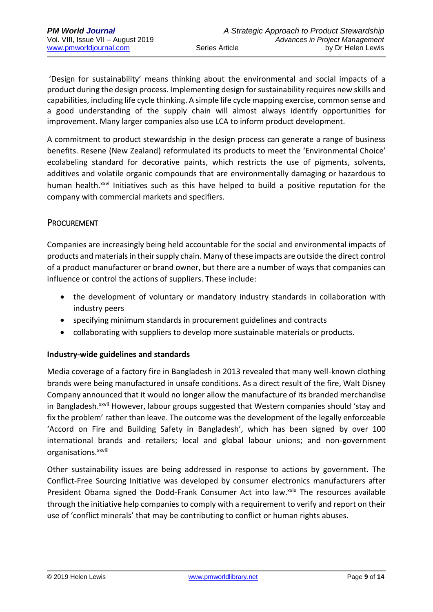'Design for sustainability' means thinking about the environmental and social impacts of a product during the design process. Implementing design for sustainability requires new skills and capabilities, including life cycle thinking. A simple life cycle mapping exercise, common sense and a good understanding of the supply chain will almost always identify opportunities for improvement. Many larger companies also use LCA to inform product development.

A commitment to product stewardship in the design process can generate a range of business benefits. Resene (New Zealand) reformulated its products to meet the 'Environmental Choice' ecolabeling standard for decorative paints, which restricts the use of pigments, solvents, additives and volatile organic compounds that are environmentally damaging or hazardous to human health.<sup>xxvi</sup> Initiatives such as this have helped to build a positive reputation for the company with commercial markets and specifiers.

#### PROCUREMENT

Companies are increasingly being held accountable for the social and environmental impacts of products and materials in their supply chain. Many of these impacts are outside the direct control of a product manufacturer or brand owner, but there are a number of ways that companies can influence or control the actions of suppliers. These include:

- the development of voluntary or mandatory industry standards in collaboration with industry peers
- specifying minimum standards in procurement guidelines and contracts
- collaborating with suppliers to develop more sustainable materials or products.

#### **Industry-wide guidelines and standards**

Media coverage of a factory fire in Bangladesh in 2013 revealed that many well-known clothing brands were being manufactured in unsafe conditions. As a direct result of the fire, Walt Disney Company announced that it would no longer allow the manufacture of its branded merchandise in Bangladesh.<sup>xxvii</sup> However, labour groups suggested that Western companies should 'stay and fix the problem' rather than leave. The outcome was the development of the legally enforceable 'Accord on Fire and Building Safety in Bangladesh', which has been signed by over 100 international brands and retailers; local and global labour unions; and non-government organisations.<sup>xxviii</sup>

Other sustainability issues are being addressed in response to actions by government. The Conflict-Free Sourcing Initiative was developed by consumer electronics manufacturers after President Obama signed the Dodd-Frank Consumer Act into law.<sup>xxix</sup> The resources available through the initiative help companies to comply with a requirement to verify and report on their use of 'conflict minerals' that may be contributing to conflict or human rights abuses.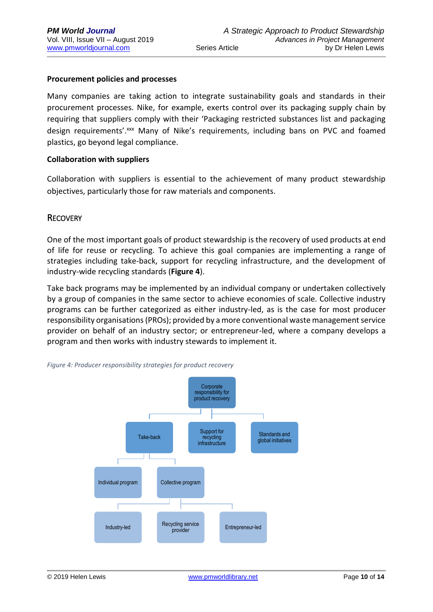#### **Procurement policies and processes**

Many companies are taking action to integrate sustainability goals and standards in their procurement processes. Nike, for example, exerts control over its packaging supply chain by requiring that suppliers comply with their 'Packaging restricted substances list and packaging design requirements'.xxx Many of Nike's requirements, including bans on PVC and foamed plastics, go beyond legal compliance.

#### **Collaboration with suppliers**

Collaboration with suppliers is essential to the achievement of many product stewardship objectives, particularly those for raw materials and components.

#### **RECOVERY**

One of the most important goals of product stewardship is the recovery of used products at end of life for reuse or recycling. To achieve this goal companies are implementing a range of strategies including take-back, support for recycling infrastructure, and the development of industry-wide recycling standards (**Figure 4**).

Take back programs may be implemented by an individual company or undertaken collectively by a group of companies in the same sector to achieve economies of scale. Collective industry programs can be further categorized as either industry-led, as is the case for most producer responsibility organisations (PROs); provided by a more conventional waste management service provider on behalf of an industry sector; or entrepreneur-led, where a company develops a program and then works with industry stewards to implement it.



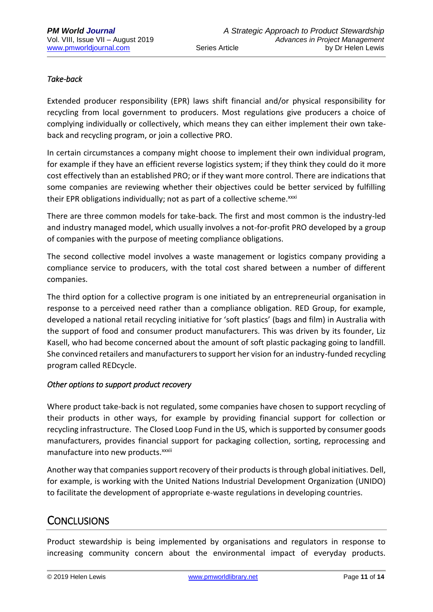### *Take-back*

Extended producer responsibility (EPR) laws shift financial and/or physical responsibility for recycling from local government to producers. Most regulations give producers a choice of complying individually or collectively, which means they can either implement their own takeback and recycling program, or join a collective PRO.

In certain circumstances a company might choose to implement their own individual program, for example if they have an efficient reverse logistics system; if they think they could do it more cost effectively than an established PRO; or if they want more control. There are indications that some companies are reviewing whether their objectives could be better serviced by fulfilling their EPR obligations individually; not as part of a collective scheme. xxxi

There are three common models for take-back. The first and most common is the industry-led and industry managed model, which usually involves a not-for-profit PRO developed by a group of companies with the purpose of meeting compliance obligations.

The second collective model involves a waste management or logistics company providing a compliance service to producers, with the total cost shared between a number of different companies.

The third option for a collective program is one initiated by an entrepreneurial organisation in response to a perceived need rather than a compliance obligation. RED Group, for example, developed a national retail recycling initiative for 'soft plastics' (bags and film) in Australia with the support of food and consumer product manufacturers. This was driven by its founder, Liz Kasell, who had become concerned about the amount of soft plastic packaging going to landfill. She convinced retailers and manufacturers to support her vision for an industry-funded recycling program called REDcycle.

### *Other options to support product recovery*

Where product take-back is not regulated, some companies have chosen to support recycling of their products in other ways, for example by providing financial support for collection or recycling infrastructure. The Closed Loop Fund in the US, which is supported by consumer goods manufacturers, provides financial support for packaging collection, sorting, reprocessing and manufacture into new products. xxxii

Another way that companies support recovery of their products is through global initiatives. Dell, for example, is working with the United Nations Industrial Development Organization (UNIDO) to facilitate the development of appropriate e-waste regulations in developing countries.

# **CONCLUSIONS**

Product stewardship is being implemented by organisations and regulators in response to increasing community concern about the environmental impact of everyday products.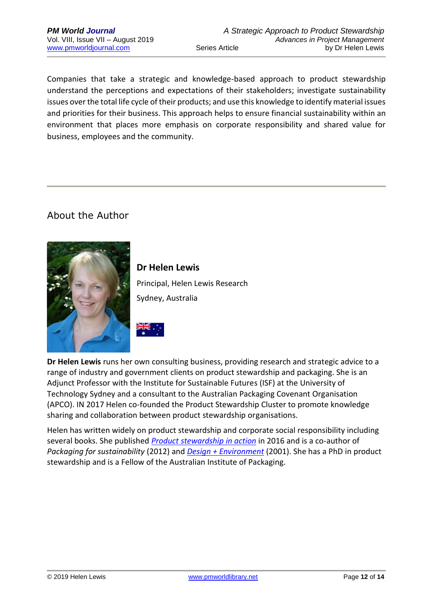Companies that take a strategic and knowledge-based approach to product stewardship understand the perceptions and expectations of their stakeholders; investigate sustainability issues over the total life cycle of their products; and use this knowledge to identify material issues and priorities for their business. This approach helps to ensure financial sustainability within an environment that places more emphasis on corporate responsibility and shared value for business, employees and the community.

# About the Author



**Dr Helen Lewis** Principal, Helen Lewis Research Sydney, Australia



**Dr Helen Lewis** runs her own consulting business, providing research and strategic advice to a range of industry and government clients on product stewardship and packaging. She is an Adjunct Professor with the Institute for Sustainable Futures (ISF) at the University of Technology Sydney and a consultant to the Australian Packaging Covenant Organisation (APCO). IN 2017 Helen co-founded the Product Stewardship Cluster to promote knowledge sharing and collaboration between product stewardship organisations.

Helen has written widely on product stewardship and corporate social responsibility including several books. She published *[Product stewardship in action](https://www.routledge.com/Product-Stewardship-in-Action-The-Business-Case-for-Life-cycle-Thinking/Lewis/p/book/9781783533367)* in 2016 and is a co-author of *Packaging for sustainability* (2012) and *[Design + Environment](https://www.routledge.com/Design--Environment-A-Global-Guide-to-Designing-Greener-Goods/Lewis-Gertsakis-Grant-Morelli-Sweatman/p/book/9781874719434)* (2001). She has a PhD in product stewardship and is a Fellow of the Australian Institute of Packaging.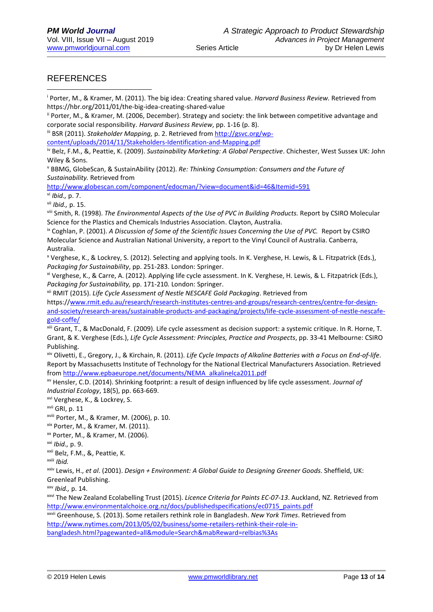### **REFERENCES**

<u>.</u>

<sup>i</sup> Porter, M., & Kramer, M. (2011). The big idea: Creating shared value. *Harvard Business Review.* Retrieved from https://hbr.org/2011/01/the-big-idea-creating-shared-value

ii Porter, M., & Kramer, M. (2006, December). Strategy and society: the link between competitive advantage and corporate social responsibility*. Harvard Business Review*, pp. 1-16 (p. 8).

iii BSR (2011). *Stakeholder Mapping,* p. 2. Retrieved fro[m http://gsvc.org/wp-](http://gsvc.org/wp-content/uploads/2014/11/Stakeholders-Identification-and-Mapping.pdf)

[content/uploads/2014/11/Stakeholders-Identification-and-Mapping.pdf](http://gsvc.org/wp-content/uploads/2014/11/Stakeholders-Identification-and-Mapping.pdf)

iv Belz, F.M., &, Peattie, K. (2009). *Sustainability Marketing: A Global Perspective*. Chichester, West Sussex UK: John Wiley & Sons.

<sup>v</sup> BBMG, GlobeScan, & SustainAbility (2012). *Re: Thinking Consumption: Consumers and the Future of Sustainability.* Retrieved from

<http://www.globescan.com/component/edocman/?view=document&id=46&Itemid=591>

vi *Ibid.,* p. 7.

vii *Ibid.,* p. 15.

viii Smith, R. (1998). *The Environmental Aspects of the Use of PVC in Building Products.* Report by CSIRO Molecular Science for the Plastics and Chemicals Industries Association. Clayton, Australia.

<sup>ix</sup> Coghlan, P. (2001). *A Discussion of Some of the Scientific Issues Concerning the Use of PVC.* Report by CSIRO Molecular Science and Australian National University, a report to the Vinyl Council of Australia. Canberra, Australia.

<sup>x</sup> Verghese, K., & Lockrey, S. (2012). Selecting and applying tools. In K. Verghese, H. Lewis, & L. Fitzpatrick (Eds.), *Packaging for Sustainability*, pp. 251-283. London: Springer.

xi Verghese, K., & Carre, A. (2012). Applying life cycle assessment. In K. Verghese, H. Lewis, & L. Fitzpatrick (Eds.), *Packaging for Sustainability,* pp. 171-210*.* London: Springer.

xii RMIT (2015). *Life Cycle Assessment of Nestle NESCAFE Gold Packaging*. Retrieved from

https:/[/www.rmit.edu.au/research/research-institutes-centres-and-groups/research-centres/centre-for-design](http://www.rmit.edu.au/research/research-institutes-centres-and-groups/research-centres/centre-for-design-and-society/research-areas/sustainable-products-and-packaging/projects/life-cycle-assessment-of-nestle-nescafe-gold-coffe/)[and-society/research-areas/sustainable-products-and-packaging/projects/life-cycle-assessment-of-nestle-nescafe](http://www.rmit.edu.au/research/research-institutes-centres-and-groups/research-centres/centre-for-design-and-society/research-areas/sustainable-products-and-packaging/projects/life-cycle-assessment-of-nestle-nescafe-gold-coffe/)[gold-coffe/](http://www.rmit.edu.au/research/research-institutes-centres-and-groups/research-centres/centre-for-design-and-society/research-areas/sustainable-products-and-packaging/projects/life-cycle-assessment-of-nestle-nescafe-gold-coffe/)

xiii Grant, T., & MacDonald, F. (2009). Life cycle assessment as decision support: a systemic critique. In R. Horne, T. Grant, & K. Verghese (Eds.), *Life Cycle Assessment: Principles, Practice and Prospects*, pp. 33-41 Melbourne: CSIRO Publishing.

xiv Olivetti, E., Gregory, J., & Kirchain, R. (2011). *Life Cycle Impacts of Alkaline Batteries with a Focus on End-of-life*. Report by Massachusetts Institute of Technology for the National Electrical Manufacturers Association. Retrieved from [http://www.epbaeurope.net/documents/NEMA\\_alkalinelca2011.pdf](http://www.epbaeurope.net/documents/NEMA_alkalinelca2011.pdf)

xv Hensler, C.D. (2014). Shrinking footprint: a result of design influenced by life cycle assessment. *Journal of Industrial Ecology*, 18(5), pp. 663-669.

xvi Verghese, K., & Lockrey, S.

xvii GRI, p. 11

xviii Porter, M., & Kramer, M. (2006), p. 10.

xix Porter, M., & Kramer, M. (2011).

xx Porter, M., & Kramer, M. (2006).

xxi *Ibid.,* p. 9.

xxii Belz, F.M., &, Peattie, K.

xxiii *Ibid.*

xxiv Lewis, H., *et al*. (2001). *Design + Environment: A Global Guide to Designing Greener Goods*. Sheffield, UK: Greenleaf Publishing.

xxv *Ibid.,* p. 14.

xxvi The New Zealand Ecolabelling Trust (2015). *Licence Criteria for Paints EC-07-13*. Auckland, NZ. Retrieved from [http://www.environmentalchoice.org.nz/docs/publishedspecifications/ec0715\\_paints.pdf](http://www.environmentalchoice.org.nz/docs/publishedspecifications/ec0715_paints.pdf)

xxvii Greenhouse, S. (2013). Some retailers rethink role in Bangladesh. *New York Times*. Retrieved from [http://www.nytimes.com/2013/05/02/business/some-retailers-rethink-their-role-in-](http://www.nytimes.com/2013/05/02/business/some-retailers-rethink-their-role-in-bangladesh.html?pagewanted=all&module=Search&mabReward=relbias%3As)

[bangladesh.html?pagewanted=all&module=Search&mabReward=relbias%3As](http://www.nytimes.com/2013/05/02/business/some-retailers-rethink-their-role-in-bangladesh.html?pagewanted=all&module=Search&mabReward=relbias%3As)